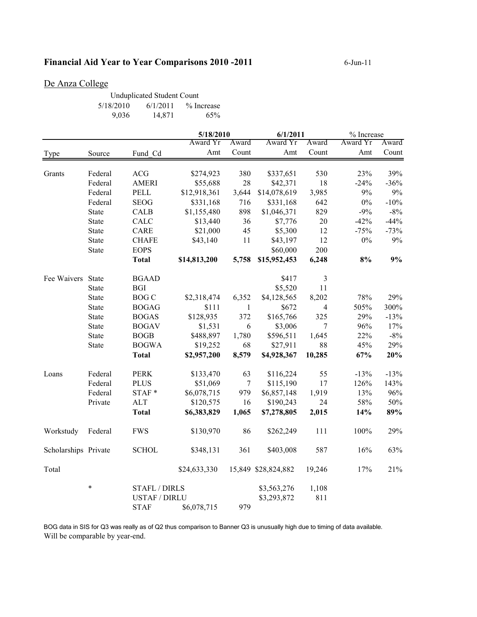## **Financial Aid Year to Year Comparisons 2010 -2011** 6-Jun-11

## De Anza College

| <b>Unduplicated Student Count</b> |          |            |  |  |
|-----------------------------------|----------|------------|--|--|
| 5/18/2010                         | 6/1/2011 | % Increase |  |  |
| 9,036                             | 14,871   | 65%        |  |  |

|                      |              |                      | 5/18/2010    |              | 6/1/2011            |                | % Increase |        |
|----------------------|--------------|----------------------|--------------|--------------|---------------------|----------------|------------|--------|
|                      |              |                      | Award Yr     | Award        | Award Yr            | Award          | Award Yr   | Award  |
| Type                 | Source       | Fund_Cd              | Amt          | Count        | Amt                 | Count          | Amt        | Count  |
| Grants               | Federal      | <b>ACG</b>           | \$274,923    | 380          | \$337,651           | 530            | 23%        | 39%    |
|                      | Federal      | <b>AMERI</b>         | \$55,688     | 28           | \$42,371            | 18             | $-24%$     | $-36%$ |
|                      | Federal      | PELL                 | \$12,918,361 | 3,644        | \$14,078,619        | 3,985          | 9%         | $9\%$  |
|                      | Federal      | <b>SEOG</b>          | \$331,168    | 716          | \$331,168           | 642            | $0\%$      | $-10%$ |
|                      | <b>State</b> | CALB                 | \$1,155,480  | 898          | \$1,046,371         | 829            | $-9%$      | $-8%$  |
|                      | <b>State</b> | CALC                 | \$13,440     | 36           | \$7,776             | 20             | $-42%$     | $-44%$ |
|                      | <b>State</b> | CARE                 | \$21,000     | 45           | \$5,300             | 12             | $-75%$     | $-73%$ |
|                      | <b>State</b> | <b>CHAFE</b>         | \$43,140     | 11           | \$43,197            | 12             | $0\%$      | $9\%$  |
|                      | <b>State</b> | <b>EOPS</b>          |              |              | \$60,000            | 200            |            |        |
|                      |              | <b>Total</b>         | \$14,813,200 | 5,758        | \$15,952,453        | 6,248          | $8\%$      | $9\%$  |
| Fee Waivers State    |              | <b>BGAAD</b>         |              |              | \$417               | 3              |            |        |
|                      | <b>State</b> | <b>BGI</b>           |              |              | \$5,520             | 11             |            |        |
|                      | <b>State</b> | <b>BOG C</b>         | \$2,318,474  | 6,352        | \$4,128,565         | 8,202          | 78%        | 29%    |
|                      | <b>State</b> | <b>BOGAG</b>         | \$111        | $\mathbf{1}$ | \$672               | $\overline{4}$ | 505%       | 300%   |
|                      | <b>State</b> | <b>BOGAS</b>         | \$128,935    | 372          | \$165,766           | 325            | 29%        | $-13%$ |
|                      | <b>State</b> | <b>BOGAV</b>         | \$1,531      | $\sqrt{6}$   | \$3,006             | $\tau$         | 96%        | 17%    |
|                      | <b>State</b> | <b>BOGB</b>          | \$488,897    | 1,780        | \$596,511           | 1,645          | 22%        | $-8%$  |
|                      | <b>State</b> | <b>BOGWA</b>         | \$19,252     | 68           | \$27,911            | 88             | 45%        | 29%    |
|                      |              | <b>Total</b>         | \$2,957,200  | 8,579        | \$4,928,367         | 10,285         | 67%        | 20%    |
| Loans                | Federal      | <b>PERK</b>          | \$133,470    | 63           | \$116,224           | 55             | $-13%$     | $-13%$ |
|                      | Federal      | <b>PLUS</b>          | \$51,069     | $\tau$       | \$115,190           | 17             | 126%       | 143%   |
|                      | Federal      | STAF*                | \$6,078,715  | 979          | \$6,857,148         | 1,919          | 13%        | 96%    |
|                      | Private      | <b>ALT</b>           | \$120,575    | 16           | \$190,243           | 24             | 58%        | 50%    |
|                      |              | <b>Total</b>         | \$6,383,829  | 1,065        | \$7,278,805         | 2,015          | 14%        | 89%    |
| Workstudy            | Federal      | <b>FWS</b>           | \$130,970    | 86           | \$262,249           | 111            | 100%       | 29%    |
| Scholarships Private |              | <b>SCHOL</b>         | \$348,131    | 361          | \$403,008           | 587            | 16%        | 63%    |
| Total                |              |                      | \$24,633,330 |              | 15,849 \$28,824,882 | 19,246         | 17%        | 21%    |
|                      | $\ast$       | <b>STAFL / DIRLS</b> |              |              | \$3,563,276         | 1,108          |            |        |
|                      |              | <b>USTAF / DIRLU</b> |              |              | \$3,293,872         | 811            |            |        |
|                      |              | <b>STAF</b>          | \$6,078,715  | 979          |                     |                |            |        |

BOG data in SIS for Q3 was really as of Q2 thus comparison to Banner Q3 is unusually high due to timing of data available. Will be comparable by year-end.